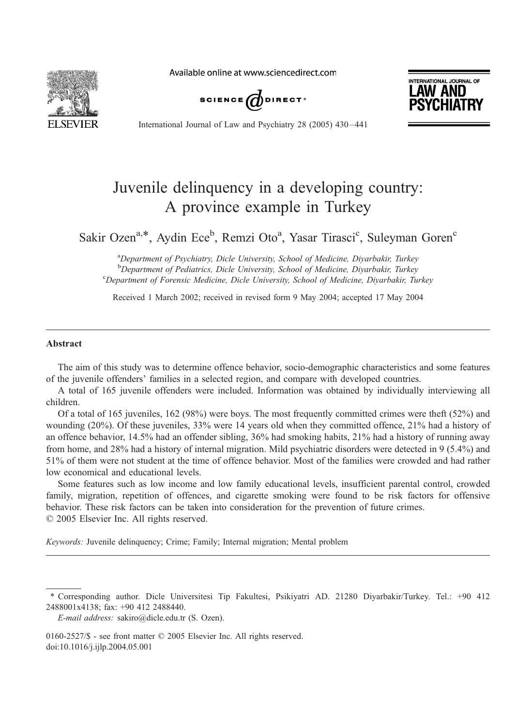Available online at www.sciencedirect.com







International Journal of Law and Psychiatry 28 (2005) 430 – 441

# Juvenile delinquency in a developing country: A province example in Turkey

Sakir Ozen<sup>a,\*</sup>, Aydin Ece<sup>b</sup>, Remzi Oto<sup>a</sup>, Yasar Tirasci<sup>c</sup>, Suleyman Goren<sup>c</sup>

<sup>a</sup>Department of Psychiatry, Dicle University, School of Medicine, Diyarbakir, Turkey <sup>b</sup> Department of Pediatrics, Dicle University, School of Medicine, Diyarbakir, Turkey<br><sup>C</sup>Department of Escapsic Medicine, Diele University, School of Medicine, Diyarbakir, Turkey Department of Forensic Medicine, Dicle University, School of Medicine, Diyarbakir, Turkey

Received 1 March 2002; received in revised form 9 May 2004; accepted 17 May 2004

### Abstract

The aim of this study was to determine offence behavior, socio-demographic characteristics and some features of the juvenile offenders' families in a selected region, and compare with developed countries.

A total of 165 juvenile offenders were included. Information was obtained by individually interviewing all children.

Of a total of 165 juveniles, 162 (98%) were boys. The most frequently committed crimes were theft (52%) and wounding (20%). Of these juveniles, 33% were 14 years old when they committed offence, 21% had a history of an offence behavior, 14.5% had an offender sibling, 36% had smoking habits, 21% had a history of running away from home, and 28% had a history of internal migration. Mild psychiatric disorders were detected in 9 (5.4%) and 51% of them were not student at the time of offence behavior. Most of the families were crowded and had rather low economical and educational levels.

Some features such as low income and low family educational levels, insufficient parental control, crowded family, migration, repetition of offences, and cigarette smoking were found to be risk factors for offensive behavior. These risk factors can be taken into consideration for the prevention of future crimes.  $© 2005 Elsevier Inc. All rights reserved.$ 

Keywords: Juvenile delinquency; Crime; Family; Internal migration; Mental problem

T Corresponding author. Dicle Universitesi Tip Fakultesi, Psikiyatri AD. 21280 Diyarbakir/Turkey. Tel.: +90 412 2488001x4138; fax: +90 412 2488440.

E-mail address: sakiro@dicle.edu.tr (S. Ozen).

<sup>0160-2527/\$ -</sup> see front matter  $\odot$  2005 Elsevier Inc. All rights reserved. doi:10.1016/j.ijlp.2004.05.001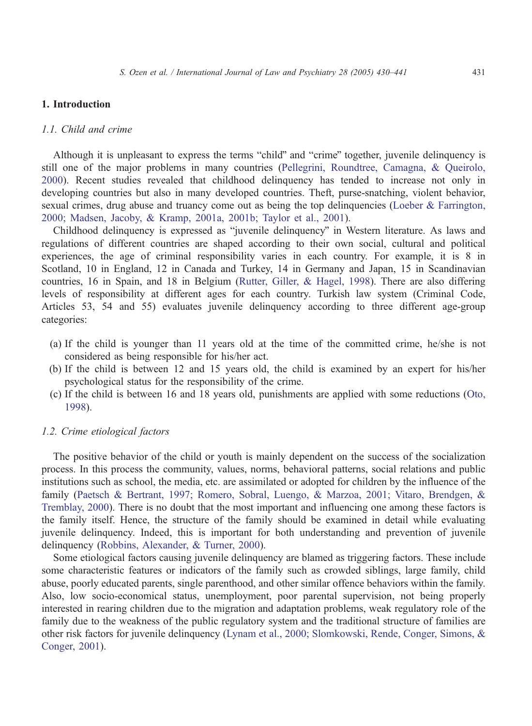### 1. Introduction

## 1.1. Child and crime

Although it is unpleasant to express the terms "child" and "crime" together, juvenile delinquency is still one of the major problems in many countries ([Pellegrini, Roundtree, Camagna, & Queirolo,](#page--1-0) 2000). Recent studies revealed that childhood delinquency has tended to increase not only in developing countries but also in many developed countries. Theft, purse-snatching, violent behavior, sexual crimes, drug abuse and truancy come out as being the top delinquencies (Loeber  $\&$  Farrington, 2000; Madsen, Jacoby, & Kramp, 2001a, 2001b; Taylor et al., 2001).

Childhood delinquency is expressed as "juvenile delinquency" in Western literature. As laws and regulations of different countries are shaped according to their own social, cultural and political experiences, the age of criminal responsibility varies in each country. For example, it is 8 in Scotland, 10 in England, 12 in Canada and Turkey, 14 in Germany and Japan, 15 in Scandinavian countries, 16 in Spain, and 18 in Belgium ([Rutter, Giller, & Hagel, 1998\)](#page--1-0). There are also differing levels of responsibility at different ages for each country. Turkish law system (Criminal Code, Articles 53, 54 and 55) evaluates juvenile delinquency according to three different age-group categories:

- (a) If the child is younger than 11 years old at the time of the committed crime, he/she is not considered as being responsible for his/her act.
- (b) If the child is between 12 and 15 years old, the child is examined by an expert for his/her psychological status for the responsibility of the crime.
- (c) If the child is between 16 and 18 years old, punishments are applied with some reductions ([Oto,](#page--1-0) 1998).

### 1.2. Crime etiological factors

The positive behavior of the child or youth is mainly dependent on the success of the socialization process. In this process the community, values, norms, behavioral patterns, social relations and public institutions such as school, the media, etc. are assimilated or adopted for children by the influence of the family ([Paetsch & Bertrant, 1997; Romero, Sobral, Luengo, & Marzoa, 2001; Vitaro, Brendgen, &](#page--1-0) Tremblay, 2000). There is no doubt that the most important and influencing one among these factors is the family itself. Hence, the structure of the family should be examined in detail while evaluating juvenile delinquency. Indeed, this is important for both understanding and prevention of juvenile delinquency ([Robbins, Alexander, & Turner, 2000\)](#page--1-0).

Some etiological factors causing juvenile delinquency are blamed as triggering factors. These include some characteristic features or indicators of the family such as crowded siblings, large family, child abuse, poorly educated parents, single parenthood, and other similar offence behaviors within the family. Also, low socio-economical status, unemployment, poor parental supervision, not being properly interested in rearing children due to the migration and adaptation problems, weak regulatory role of the family due to the weakness of the public regulatory system and the traditional structure of families are other risk factors for juvenile delinquency ([Lynam et al., 2000; Slomkowski, Rende, Conger, Simons, &](#page--1-0) Conger, 2001).